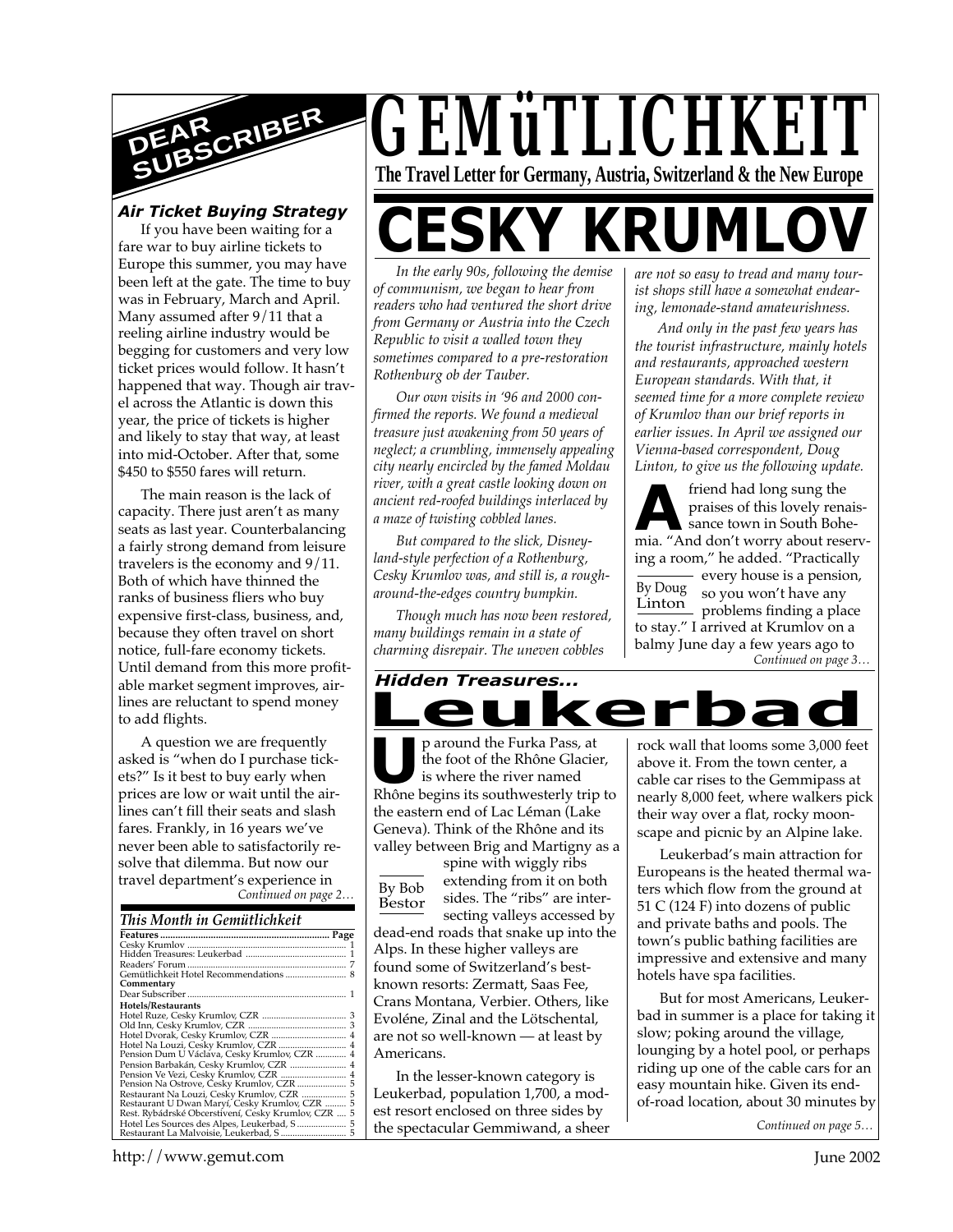

#### *Air Ticket Buying Strategy*

If you have been waiting for a fare war to buy airline tickets to Europe this summer, you may have been left at the gate. The time to buy was in February, March and April. Many assumed after 9/11 that a reeling airline industry would be begging for customers and very low ticket prices would follow. It hasn't happened that way. Though air travel across the Atlantic is down this year, the price of tickets is higher and likely to stay that way, at least into mid-October. After that, some \$450 to \$550 fares will return.

The main reason is the lack of capacity. There just aren't as many seats as last year. Counterbalancing a fairly strong demand from leisure travelers is the economy and 9/11. Both of which have thinned the ranks of business fliers who buy expensive first-class, business, and, because they often travel on short notice, full-fare economy tickets. Until demand from this more profitable market segment improves, airlines are reluctant to spend money to add flights.

*Continued on page 2…* A question we are frequently asked is "when do I purchase tickets?" Is it best to buy early when prices are low or wait until the airlines can't fill their seats and slash fares. Frankly, in 16 years we've never been able to satisfactorily resolve that dilemma. But now our travel department's experience in

#### *This Month in Gemütlichkeit*

| Commentary                                          |  |
|-----------------------------------------------------|--|
|                                                     |  |
| Hotels/Restaurants                                  |  |
|                                                     |  |
|                                                     |  |
|                                                     |  |
| Hotel Na Louzi, Cesky Krumlov, CZR  4               |  |
| Pension Dum U Václava, Cesky Krumlov, CZR  4        |  |
| Pension Barbakán, Cesky Krumlov, CZR  4             |  |
|                                                     |  |
|                                                     |  |
| Restaurant Na Louzi, Cesky Krumlov, CZR  5          |  |
| Restaurant U Dwan Maryí, Cesky Krumlov, CZR  5      |  |
| Rest. Rybádrské Obcerstivení, Cesky Krumlov, CZR  5 |  |
| Hotel Les Sources des Alpes, Leukerbad, S 5         |  |
|                                                     |  |
|                                                     |  |

*GEMüTLICHKEIT* **The Travel Letter for Germany, Austria, Switzerland & the New Europe** 

# **CESKY KRUMLO**

*In the early 90s, following the demise of communism, we began to hear from readers who had ventured the short drive from Germany or Austria into the Czech Republic to visit a walled town they sometimes compared to a pre-restoration Rothenburg ob der Tauber.*

*Our own visits in '96 and 2000 confirmed the reports. We found a medieval treasure just awakening from 50 years of neglect; a crumbling, immensely appealing city nearly encircled by the famed Moldau river, with a great castle looking down on ancient red-roofed buildings interlaced by a maze of twisting cobbled lanes.*

*But compared to the slick, Disneyland-style perfection of a Rothenburg, Cesky Krumlov was, and still is, a rougharound-the-edges country bumpkin.*

*Though much has now been restored, many buildings remain in a state of charming disrepair. The uneven cobbles*

#### *Hidden Treasures...*

**P** around the Furka Pass, at the foot of the Rhône Glacier, is where the river named Rhône begins its southwesterly trip to p around the Furka Pass, at the foot of the Rhône Glacier, is where the river named the eastern end of Lac Léman (Lake Geneva). Think of the Rhône and its valley between Brig and Martigny as a

eukerl

By Bob Bestor spine with wiggly ribs extending from it on both sides. The "ribs" are intersecting valleys accessed by dead-end roads that snake up into the Alps. In these higher valleys are found some of Switzerland's bestknown resorts: Zermatt, Saas Fee, Crans Montana, Verbier. Others, like Evoléne, Zinal and the Lötschental, are not so well-known — at least by Americans.

In the lesser-known category is Leukerbad, population 1,700, a modest resort enclosed on three sides by the spectacular Gemmiwand, a sheer *are not so easy to tread and many tourist shops still have a somewhat endearing, lemonade-stand amateurishness.*

*And only in the past few years has the tourist infrastructure, mainly hotels and restaurants, approached western European standards. With that, it seemed time for a more complete review of Krumlov than our brief reports in earlier issues. In April we assigned our Vienna-based correspondent, Doug Linton, to give us the following update.*

*Continued on page 3…* **A**<br>**A** praises of this lovely renaissance town in South Bohemia. "And don't worry about reserv-By Doug Linton friend had long sung the praises of this lovely renaissance town in South Boheing a room," he added. "Practically - every house is a pension, so you won't have any problems finding a place to stay." I arrived at Krumlov on a balmy June day a few years ago to

rock wall that looms some 3,000 feet above it. From the town center, a cable car rises to the Gemmipass at nearly 8,000 feet, where walkers pick their way over a flat, rocky moonscape and picnic by an Alpine lake.

Leukerbad's main attraction for Europeans is the heated thermal waters which flow from the ground at 51 C (124 F) into dozens of public and private baths and pools. The town's public bathing facilities are impressive and extensive and many hotels have spa facilities.

But for most Americans, Leukerbad in summer is a place for taking it slow; poking around the village, lounging by a hotel pool, or perhaps riding up one of the cable cars for an easy mountain hike. Given its endof-road location, about 30 minutes by

*Continued on page 5…*

http://www.gemut.com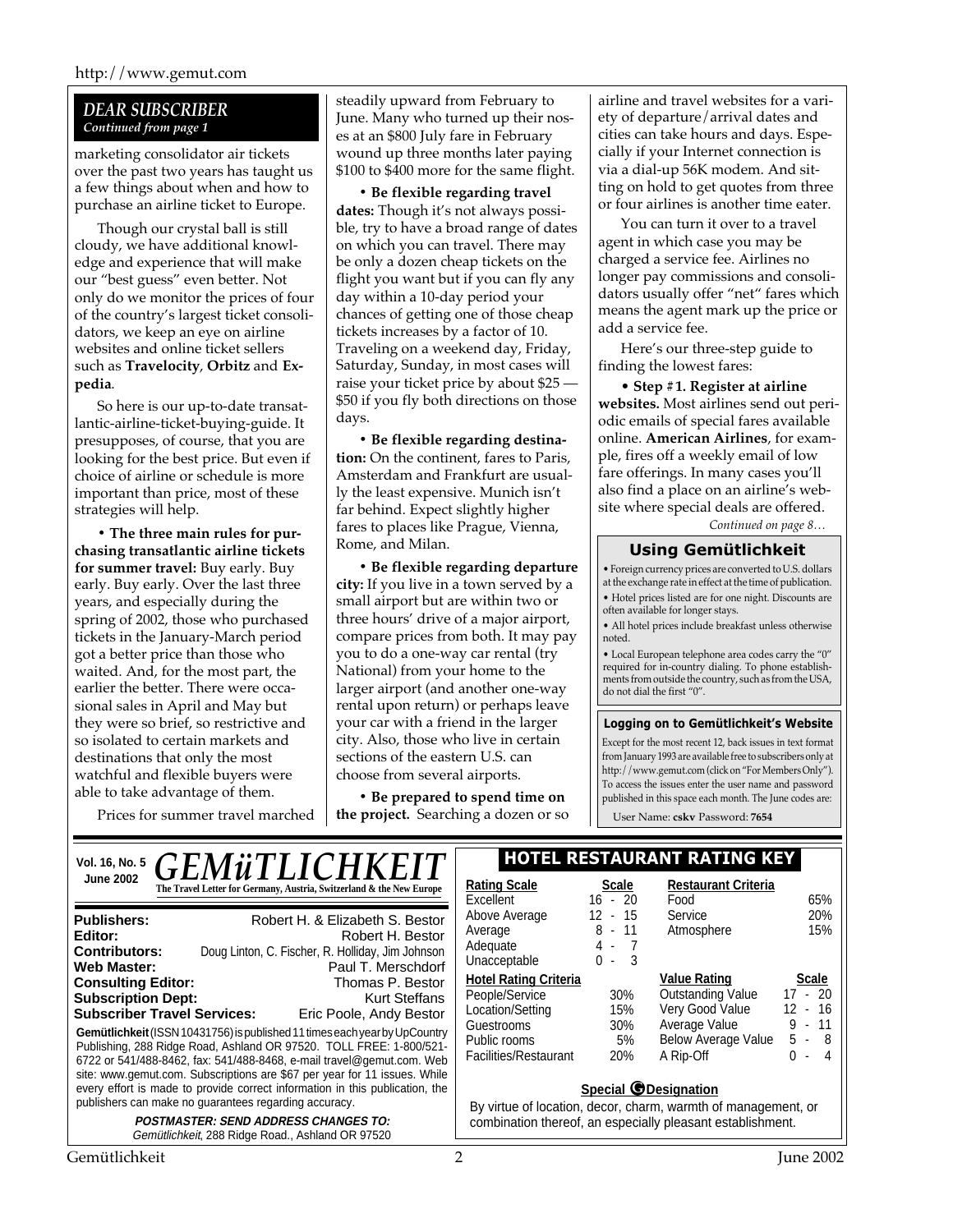#### *DEAR SUBSCRIBER Continued from page 1*

marketing consolidator air tickets over the past two years has taught us a few things about when and how to purchase an airline ticket to Europe.

Though our crystal ball is still cloudy, we have additional knowledge and experience that will make our "best guess" even better. Not only do we monitor the prices of four of the country's largest ticket consolidators, we keep an eye on airline websites and online ticket sellers such as **Travelocity**, **Orbitz** and **Expedia**.

So here is our up-to-date transatlantic-airline-ticket-buying-guide. It presupposes, of course, that you are looking for the best price. But even if choice of airline or schedule is more important than price, most of these strategies will help.

**• The three main rules for purchasing transatlantic airline tickets for summer travel:** Buy early. Buy early. Buy early. Over the last three years, and especially during the spring of 2002, those who purchased tickets in the January-March period got a better price than those who waited. And, for the most part, the earlier the better. There were occasional sales in April and May but they were so brief, so restrictive and so isolated to certain markets and destinations that only the most watchful and flexible buyers were able to take advantage of them.

Prices for summer travel marched

steadily upward from February to June. Many who turned up their noses at an \$800 July fare in February wound up three months later paying \$100 to \$400 more for the same flight.

**• Be flexible regarding travel dates:** Though it's not always possible, try to have a broad range of dates on which you can travel. There may be only a dozen cheap tickets on the flight you want but if you can fly any day within a 10-day period your chances of getting one of those cheap tickets increases by a factor of 10. Traveling on a weekend day, Friday, Saturday, Sunday, in most cases will raise your ticket price by about \$25 — \$50 if you fly both directions on those days.

**• Be flexible regarding destination:** On the continent, fares to Paris, Amsterdam and Frankfurt are usually the least expensive. Munich isn't far behind. Expect slightly higher fares to places like Prague, Vienna, Rome, and Milan.

**• Be flexible regarding departure city:** If you live in a town served by a small airport but are within two or three hours' drive of a major airport, compare prices from both. It may pay you to do a one-way car rental (try National) from your home to the larger airport (and another one-way rental upon return) or perhaps leave your car with a friend in the larger city. Also, those who live in certain sections of the eastern U.S. can choose from several airports.

**• Be prepared to spend time on the project.** Searching a dozen or so airline and travel websites for a variety of departure/arrival dates and cities can take hours and days. Especially if your Internet connection is via a dial-up 56K modem. And sitting on hold to get quotes from three or four airlines is another time eater.

You can turn it over to a travel agent in which case you may be charged a service fee. Airlines no longer pay commissions and consolidators usually offer "net" fares which means the agent mark up the price or add a service fee.

Here's our three-step guide to finding the lowest fares:

• **Step #1. Register at airline websites.** Most airlines send out periodic emails of special fares available online. **American Airlines**, for example, fires off a weekly email of low fare offerings. In many cases you'll also find a place on an airline's website where special deals are offered.

*Continued on page 8…*

#### **Using Gemütlichkeit**

• Foreign currency prices are converted to U.S. dollars at the exchange rate in effect at the time of publication. • Hotel prices listed are for one night. Discounts are often available for longer stays.

• All hotel prices include breakfast unless otherwise noted.

• Local European telephone area codes carry the "0" required for in-country dialing. To phone establishments from outside the country, such as from the USA, do not dial the first "0".

#### **Logging on to Gemütlichkeit's Website**

Except for the most recent 12, back issues in text format from January 1993 are available free to subscribers only at http://www.gemut.com (click on "For Members Only"). To access the issues enter the user name and password published in this space each month. The June codes are:

User Name: **cskv** Password: **7654**

| Vol. 16, No. 5                                                                                                                                                                                                                                                                                                                                                                                                          | <b>GEMÜTLICHKEIT</b>                                                                                                      |                                                                                                                                                            |                                                                                                                                | <b>HOTEL RESTAURANT RATING KEY</b>                                                            |            |
|-------------------------------------------------------------------------------------------------------------------------------------------------------------------------------------------------------------------------------------------------------------------------------------------------------------------------------------------------------------------------------------------------------------------------|---------------------------------------------------------------------------------------------------------------------------|------------------------------------------------------------------------------------------------------------------------------------------------------------|--------------------------------------------------------------------------------------------------------------------------------|-----------------------------------------------------------------------------------------------|------------|
| <b>June 2002</b>                                                                                                                                                                                                                                                                                                                                                                                                        | The Travel Letter for Germany, Austria, Switzerland & the New Europe                                                      | <b>Rating Scale</b><br>Excellent                                                                                                                           | <b>Scale</b><br>$16 - 20$                                                                                                      | <b>Restaurant Criteria</b><br>Food                                                            | 65%        |
| <b>Publishers:</b><br>Editor:<br><b>Contributors:</b><br>Web Master:                                                                                                                                                                                                                                                                                                                                                    | Robert H. & Elizabeth S. Bestor<br>Robert H. Bestor<br>Doug Linton, C. Fischer, R. Holliday, Jim Johnson                  | Above Average<br>Average<br>Adequate<br>Unacceptable                                                                                                       | - 15<br>12<br>8<br>- 11<br>4 -<br>$\Omega$<br>- 3<br>$\sim$                                                                    | Service<br>Atmosphere                                                                         | 20%<br>15% |
| Paul T. Merschdorf<br><b>Consulting Editor:</b><br>Thomas P. Bestor<br><b>Subscription Dept:</b><br><b>Kurt Steffans</b><br><b>Subscriber Travel Services:</b><br>Eric Poole, Andy Bestor<br>Gemütlichkeit (ISSN 10431756) is published 11 times each year by UpCountry<br>Publishing, 288 Ridge Road, Ashland OR 97520. TOLL FREE: 1-800/521-<br>6722 or 541/488-8462, fax: 541/488-8468, e-mail travel@gemut.com. Web | <b>Hotel Rating Criteria</b><br>People/Service<br>Location/Setting<br>Guestrooms<br>Public rooms<br>Facilities/Restaurant | 30%<br>15%<br>30%<br>5%<br>20%                                                                                                                             | <b>Value Rating</b><br><b>Outstanding Value</b><br>Very Good Value<br>Average Value<br><b>Below Average Value</b><br>A Rip-Off | <b>Scale</b><br>$-20$<br>17<br>12<br>-16<br>$\sim$<br>9<br>11<br>5.<br>-8<br>$\sim$<br>0<br>4 |            |
| site: www.gemut.com. Subscriptions are \$67 per year for 11 issues. While<br>every effort is made to provide correct information in this publication, the<br>publishers can make no guarantees regarding accuracy.<br><b>POSTMASTER: SEND ADDRESS CHANGES TO:</b><br>Gemütlichkeit, 288 Ridge Road., Ashland OR 97520                                                                                                   |                                                                                                                           | <b>Special @Designation</b><br>By virtue of location, decor, charm, warmth of management, or<br>combination thereof, an especially pleasant establishment. |                                                                                                                                |                                                                                               |            |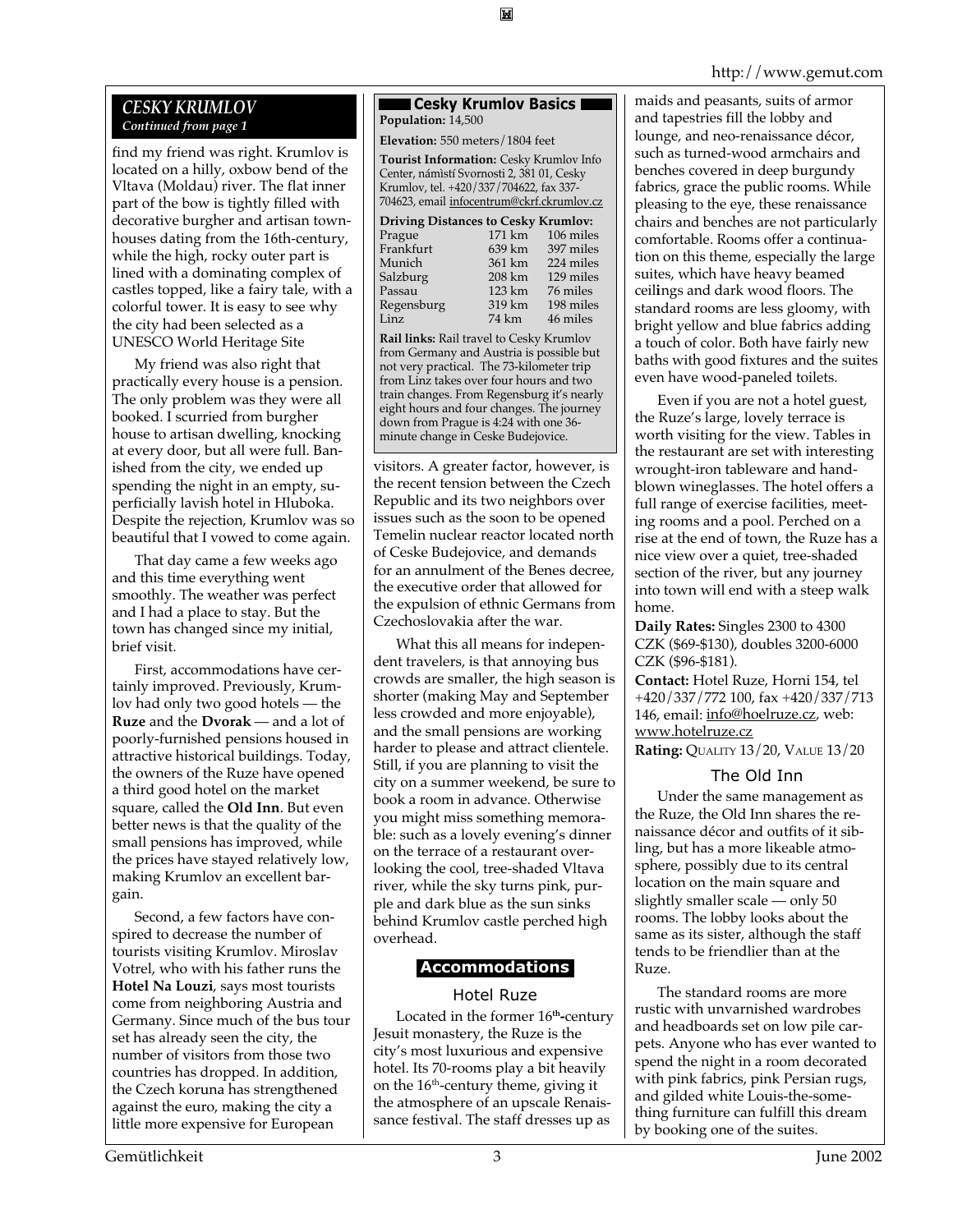#### http://www.gemut.com

#### *CESKY KRUMLOV Continued from page 1*

find my friend was right. Krumlov is located on a hilly, oxbow bend of the Vltava (Moldau) river. The flat inner part of the bow is tightly filled with decorative burgher and artisan townhouses dating from the 16th-century, while the high, rocky outer part is lined with a dominating complex of castles topped, like a fairy tale, with a colorful tower. It is easy to see why the city had been selected as a UNESCO World Heritage Site

My friend was also right that practically every house is a pension. The only problem was they were all booked. I scurried from burgher house to artisan dwelling, knocking at every door, but all were full. Banished from the city, we ended up spending the night in an empty, superficially lavish hotel in Hluboka. Despite the rejection, Krumlov was so beautiful that I vowed to come again.

That day came a few weeks ago and this time everything went smoothly. The weather was perfect and I had a place to stay. But the town has changed since my initial, brief visit.

First, accommodations have certainly improved. Previously, Krumlov had only two good hotels — the **Ruze** and the **Dvorak** — and a lot of poorly-furnished pensions housed in attractive historical buildings. Today, the owners of the Ruze have opened a third good hotel on the market square, called the **Old Inn**. But even better news is that the quality of the small pensions has improved, while the prices have stayed relatively low, making Krumlov an excellent bargain.

Second, a few factors have conspired to decrease the number of tourists visiting Krumlov. Miroslav Votrel, who with his father runs the **Hotel Na Louzi**, says most tourists come from neighboring Austria and Germany. Since much of the bus tour set has already seen the city, the number of visitors from those two countries has dropped. In addition, the Czech koruna has strengthened against the euro, making the city a little more expensive for European

#### ■ Cesky Krumlov Basics ■ **Population:** 14,500

**Elevation:** 550 meters/1804 feet

**Tourist Information:** Cesky Krumlov Info Center, námìstí Svornosti 2, 381 01, Cesky Krumlov, tel. +420/337/704622, fax 337- 704623, email infocentrum@ckrf.ckrumlov.cz

| <b>Driving Distances to Cesky Krumlov:</b> |        |           |  |  |  |
|--------------------------------------------|--------|-----------|--|--|--|
| Prague                                     | 171 km | 106 miles |  |  |  |
| Frankfurt                                  | 639 km | 397 miles |  |  |  |
| Munich                                     | 361 km | 224 miles |  |  |  |
| Salzburg                                   | 208 km | 129 miles |  |  |  |
| Passau                                     | 123 km | 76 miles  |  |  |  |
| Regensburg                                 | 319 km | 198 miles |  |  |  |
| Linz                                       | 74 km  | 46 miles  |  |  |  |

**Rail links:** Rail travel to Cesky Krumlov from Germany and Austria is possible but not very practical. The 73-kilometer trip from Linz takes over four hours and two train changes. From Regensburg it's nearly eight hours and four changes. The journey down from Prague is 4:24 with one 36 minute change in Ceske Budejovice.

visitors. A greater factor, however, is the recent tension between the Czech Republic and its two neighbors over issues such as the soon to be opened Temelin nuclear reactor located north of Ceske Budejovice, and demands for an annulment of the Benes decree, the executive order that allowed for the expulsion of ethnic Germans from Czechoslovakia after the war.

What this all means for independent travelers, is that annoying bus crowds are smaller, the high season is shorter (making May and September less crowded and more enjoyable), and the small pensions are working harder to please and attract clientele. Still, if you are planning to visit the city on a summer weekend, be sure to book a room in advance. Otherwise you might miss something memorable: such as a lovely evening's dinner on the terrace of a restaurant overlooking the cool, tree-shaded Vltava river, while the sky turns pink, purple and dark blue as the sun sinks behind Krumlov castle perched high overhead.

#### **Accommodations**

#### Hotel Ruze

Located in the former 16**th-**century Jesuit monastery, the Ruze is the city's most luxurious and expensive hotel. Its 70-rooms play a bit heavily on the  $16<sup>th</sup>$ -century theme, giving it the atmosphere of an upscale Renaissance festival. The staff dresses up as

maids and peasants, suits of armor and tapestries fill the lobby and lounge, and neo-renaissance décor, such as turned-wood armchairs and benches covered in deep burgundy fabrics, grace the public rooms. While pleasing to the eye, these renaissance chairs and benches are not particularly comfortable. Rooms offer a continuation on this theme, especially the large suites, which have heavy beamed ceil**i**ngs and dark wood floors. The standard rooms are less gloomy, with bright yellow and blue fabrics adding a touch of color. Both have fairly new baths with good fixtures and the suites even have wood-paneled toilets.

Even if you are not a hotel guest, the Ruze's large, lovely terrace is worth visiting for the view. Tables in the restaurant are set with interesting wrought-iron tableware and handblown wineglasses. The hotel offers a full range of exercise facilities, meeting rooms and a pool. Perched on a rise at the end of town, the Ruze has a nice view over a quiet, tree-shaded section of the river, but any journey into town will end with a steep walk home.

**Daily Rates:** Singles 2300 to 4300 CZK (\$69-\$130), doubles 3200-6000 CZK (\$96-\$181).

**Contact:** Hotel Ruze, Horni 154, tel +420/337/772 100, fax +420/337/713 146, email: info@hoelruze.cz, web: www.hotelruze.cz **Rating:** QUALITY 13/20, VALUE 13/20

#### The Old Inn

Under the same management as the Ruze, the Old Inn shares the renaissance décor and outfits of it sibling, but has a more likeable atmosphere, possibly due to its central location on the main square and slightly smaller scale — only 50 rooms. The lobby looks about the same as its sister, although the staff tends to be friendlier than at the Ruze.

The standard rooms are more rustic with unvarnished wardrobes and headboards set on low pile carpets. Anyone who has ever wanted to spend the night in a room decorated with pink fabrics, pink Persian rugs, and gilded white Louis-the-something furniture can fulfill this dream by booking one of the suites.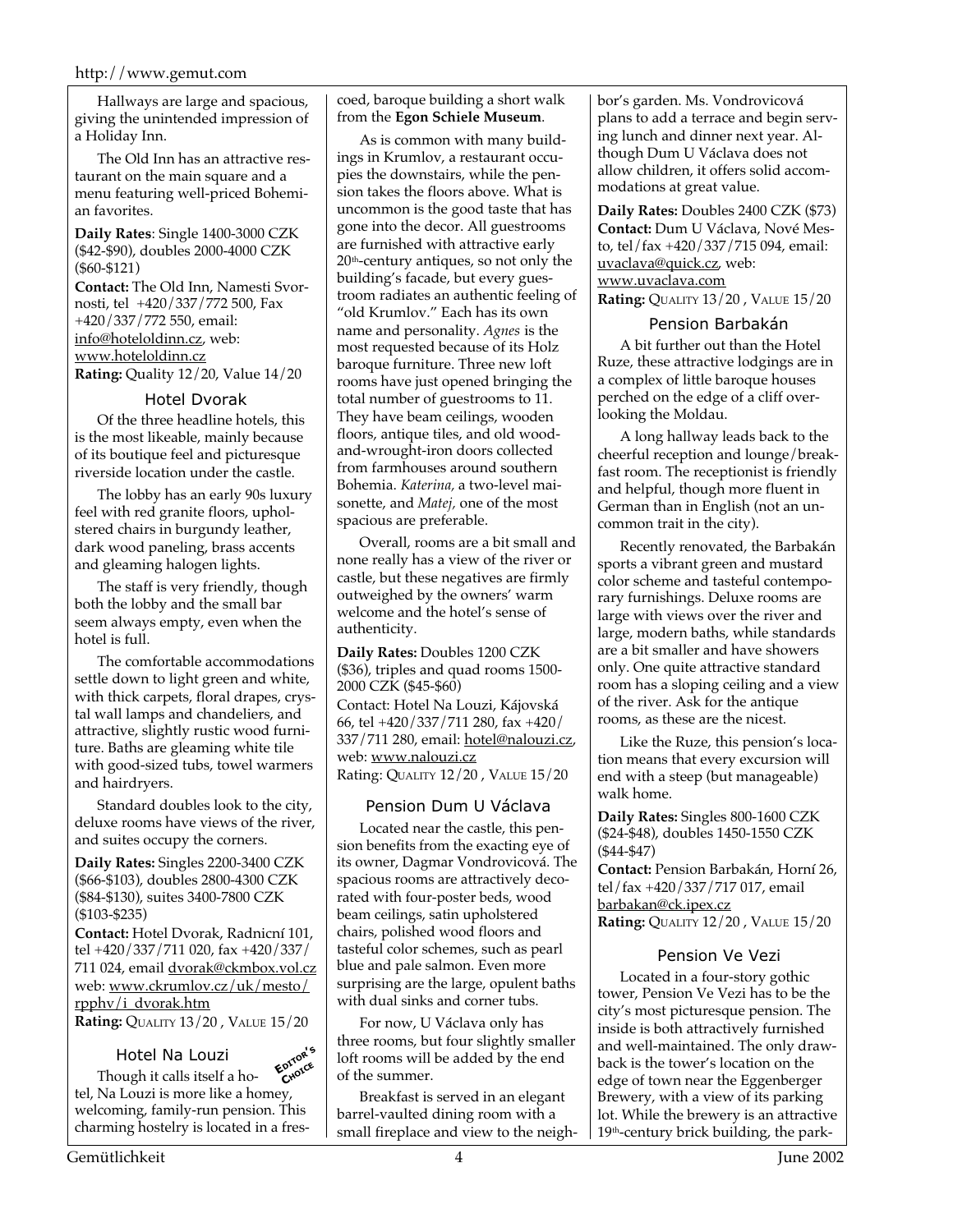Hallways are large and spacious, giving the unintended impression of a Holiday Inn.

The Old Inn has an attractive restaurant on the main square and a menu featuring well-priced Bohemian favorites.

**Daily Rates**: Single 1400-3000 CZK (\$42-\$90), doubles 2000-4000 CZK (\$60-\$121)

**Contact:** The Old Inn, Namesti Svornosti, tel +420/337/772 500, Fax +420/337/772 550, email: info@hoteloldinn.cz, web: www.hoteloldinn.cz **Rating:** Quality 12/20, Value 14/20

#### Hotel Dvorak

Of the three headline hotels, this is the most likeable, mainly because of its boutique feel and picturesque riverside location under the castle.

The lobby has an early 90s luxury feel with red granite floors, upholstered chairs in burgundy leather, dark wood paneling, brass accents and gleaming halogen lights.

The staff is very friendly, though both the lobby and the small bar seem always empty, even when the hotel is full.

The comfortable accommodations settle down to light green and white, with thick carpets, floral drapes, crystal wall lamps and chandeliers, and attractive, slightly rustic wood furniture. Baths are gleaming white tile with good-sized tubs, towel warmers and hairdryers.

Standard doubles look to the city, deluxe rooms have views of the river, and suites occupy the corners.

**Daily Rates:** Singles 2200-3400 CZK (\$66-\$103), doubles 2800-4300 CZK (\$84-\$130), suites 3400-7800 CZK (\$103-\$235)

**Contact:** Hotel Dvorak, Radnicní 101, tel +420/337/711 020, fax +420/337/ 711 024, email dvorak@ckmbox.vol.cz web: www.ckrumlov.cz/uk/mesto/ rpphv/i\_dvorak.htm

**Rating:** QUALITY 13/20 , VALUE 15/20

#### Hotel Na Louzi

Though it calls itself a hotel, Na Louzi is more like a homey, welcoming, family-run pension. This charming hostelry is located in a fres-**EDITOR'<sup>S</sup> CHOICE**

coed, baroque building a short walk from the **Egon Schiele Museum**.

As is common with many buildings in Krumlov, a restaurant occupies the downstairs, while the pension takes the floors above. What is uncommon is the good taste that has gone into the decor. All guestrooms are furnished with attractive early  $20<sup>th</sup>$ -century antiques, so not only the building's facade, but every guestroom radiates an authentic feeling of "old Krumlov." Each has its own name and personality. *Agnes* is the most requested because of its Holz baroque furniture. Three new loft rooms have just opened bringing the total number of guestrooms to 11. They have beam ceilings, wooden floors, antique tiles, and old woodand-wrought-iron doors collected from farmhouses around southern Bohemia. *Katerina,* a two-level maisonette, and *Matej,* one of the most spacious are preferable.

Overall, rooms are a bit small and none really has a view of the river or castle, but these negatives are firmly outweighed by the owners' warm welcome and the hotel's sense of authenticity.

**Daily Rates:** Doubles 1200 CZK (\$36), triples and quad rooms 1500- 2000 CZK (\$45-\$60) Contact: Hotel Na Louzi, Kájovská 66, tel +420/337/711 280, fax +420/ 337/711 280, email: hotel@nalouzi.cz, web: www.nalouzi.cz Rating: QUALITY 12/20 , VALUE 15/20

#### Pension Dum U Václava

Located near the castle, this pension benefits from the exacting eye of its owner, Dagmar Vondrovicová. The spacious rooms are attractively decorated with four-poster beds, wood beam ceilings, satin upholstered chairs, polished wood floors and tasteful color schemes, such as pearl blue and pale salmon. Even more surprising are the large, opulent baths with dual sinks and corner tubs.

For now, U Václava only has three rooms, but four slightly smaller loft rooms will be added by the end of the summer.

Breakfast is served in an elegant barrel-vaulted dining room with a small fireplace and view to the neighbor's garden. Ms. Vondrovicová plans to add a terrace and begin serving lunch and dinner next year. Although Dum U Václava does not allow children, it offers solid accommodations at great value.

**Daily Rates:** Doubles 2400 CZK (\$73) **Contact:** Dum U Václava, Nové Mesto, tel/fax +420/337/715 094, email: uvaclava@quick.cz, web: www.uvaclava.com **Rating:** QUALITY 13/20 , VALUE 15/20

#### Pension Barbakán

A bit further out than the Hotel Ruze, these attractive lodgings are in a complex of little baroque houses perched on the edge of a cliff overlooking the Moldau.

A long hallway leads back to the cheerful reception and lounge/breakfast room. The receptionist is friendly and helpful, though more fluent in German than in English (not an uncommon trait in the city).

Recently renovated, the Barbakán sports a vibrant green and mustard color scheme and tasteful contemporary furnishings. Deluxe rooms are large with views over the river and large, modern baths, while standards are a bit smaller and have showers only. One quite attractive standard room has a sloping ceiling and a view of the river. Ask for the antique rooms, as these are the nicest.

Like the Ruze, this pension's location means that every excursion will end with a steep (but manageable) walk home.

**Daily Rates:** Singles 800-1600 CZK (\$24-\$48), doubles 1450-1550 CZK (\$44-\$47)

**Contact:** Pension Barbakán, Horní 26, tel/fax +420/337/717 017, email barbakan@ck.ipex.cz **Rating:** QUALITY 12/20 , VALUE 15/20

#### Pension Ve Vezi

Located in a four-story gothic tower, Pension Ve Vezi has to be the city's most picturesque pension. The inside is both attractively furnished and well-maintained. The only drawback is the tower's location on the edge of town near the Eggenberger Brewery, with a view of its parking lot. While the brewery is an attractive  $19<sup>th</sup>$ -century brick building, the park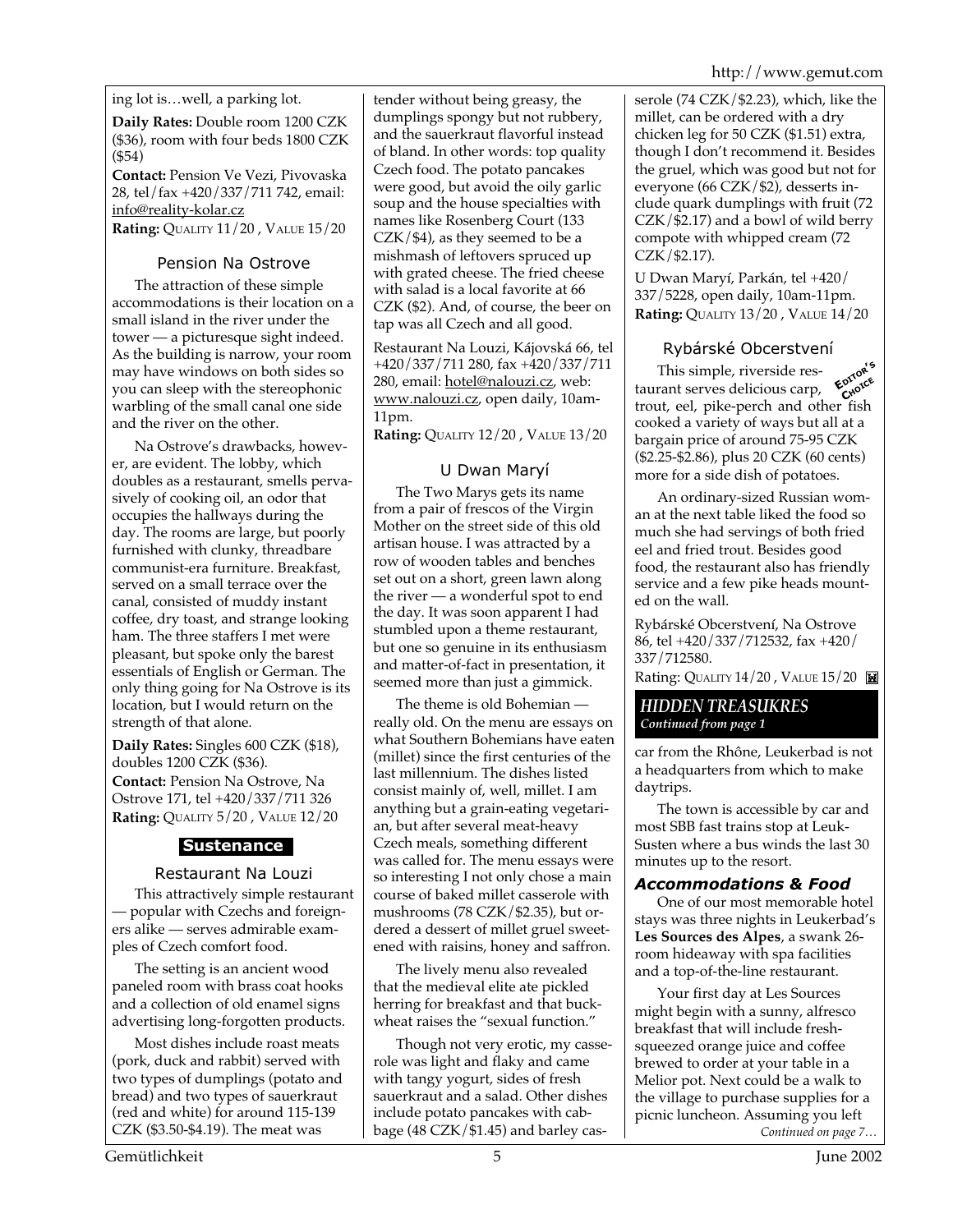ing lot is…well, a parking lot.

**Daily Rates:** Double room 1200 CZK (\$36), room with four beds 1800 CZK (\$54)

**Contact:** Pension Ve Vezi, Pivovaska 28, tel/fax +420/337/711 742, email: info@reality-kolar.cz

**Rating:** QUALITY 11/20 , VALUE 15/20

#### Pension Na Ostrove

The attraction of these simple accommodations is their location on a small island in the river under the tower — a picturesque sight indeed. As the building is narrow, your room may have windows on both sides so you can sleep with the stereophonic warbling of the small canal one side and the river on the other.

Na Ostrove's drawbacks, however, are evident. The lobby, which doubles as a restaurant, smells pervasively of cooking oil, an odor that occupies the hallways during the day. The rooms are large, but poorly furnished with clunky, threadbare communist-era furniture. Breakfast, served on a small terrace over the canal, consisted of muddy instant coffee, dry toast, and strange looking ham. The three staffers I met were pleasant, but spoke only the barest essentials of English or German. The only thing going for Na Ostrove is its location, but I would return on the strength of that alone.

**Daily Rates:** Singles 600 CZK (\$18), doubles 1200 CZK (\$36). **Contact:** Pension Na Ostrove, Na Ostrove 171, tel +420/337/711 326 **Rating:** QUALITY 5/20 , VALUE 12/20

#### **Sustenance**

#### Restaurant Na Louzi

This attractively simple restaurant — popular with Czechs and foreigners alike — serves admirable examples of Czech comfort food.

The setting is an ancient wood paneled room with brass coat hooks and a collection of old enamel signs advertising long-forgotten products.

Most dishes include roast meats (pork, duck and rabbit) served with two types of dumplings (potato and bread) and two types of sauerkraut (red and white) for around 115-139 CZK (\$3.50-\$4.19). The meat was

tender without being greasy, the dumplings spongy but not rubbery, and the sauerkraut flavorful instead of bland. In other words: top quality Czech food. The potato pancakes were good, but avoid the oily garlic soup and the house specialties with names like Rosenberg Court (133  $CZK/\$4$ ), as they seemed to be a mishmash of leftovers spruced up with grated cheese. The fried cheese with salad is a local favorite at 66 CZK (\$2). And, of course, the beer on tap was all Czech and all good.

Restaurant Na Louzi, Kájovská 66, tel +420/337/711 280, fax +420/337/711 280, email: hotel@nalouzi.cz, web: www.nalouzi.cz, open daily, 10am-11pm.

**Rating:** QUALITY 12/20 , VALUE 13/20

#### U Dwan Maryí

The Two Marys gets its name from a pair of frescos of the Virgin Mother on the street side of this old artisan house. I was attracted by a row of wooden tables and benches set out on a short, green lawn along the river — a wonderful spot to end the day. It was soon apparent I had stumbled upon a theme restaurant, but one so genuine in its enthusiasm and matter-of-fact in presentation, it seemed more than just a gimmick.

The theme is old Bohemian really old. On the menu are essays on what Southern Bohemians have eaten (millet) since the first centuries of the last millennium. The dishes listed consist mainly of, well, millet. I am anything but a grain-eating vegetarian, but after several meat-heavy Czech meals, something different was called for. The menu essays were so interesting I not only chose a main course of baked millet casserole with mushrooms (78 CZK/\$2.35), but ordered a dessert of millet gruel sweetened with raisins, honey and saffron.

The lively menu also revealed that the medieval elite ate pickled herring for breakfast and that buckwheat raises the "sexual function."

Though not very erotic, my casserole was light and flaky and came with tangy yogurt, sides of fresh sauerkraut and a salad. Other dishes include potato pancakes with cabbage (48 CZK/\$1.45) and barley casserole (74 CZK/\$2.23), which, like the millet, can be ordered with a dry chicken leg for 50 CZK (\$1.51) extra, though I don't recommend it. Besides the gruel, which was good but not for everyone (66 CZK/\$2), desserts include quark dumplings with fruit (72  $CZK/\$2.17$ ) and a bowl of wild berry compote with whipped cream (72 CZK/\$2.17).

U Dwan Maryí, Parkán, tel +420/ 337/5228, open daily, 10am-11pm. **Rating:** QUALITY 13/20 , VALUE 14/20

#### Rybárské Obcerstvení

This simple, riverside restaurant serves delicious carp, trout, eel, pike-perch and other fish cooked a variety of ways but all at a bargain price of around 75-95 CZK (\$2.25-\$2.86), plus 20 CZK (60 cents) more for a side dish of potatoes. **EDITOR'<sup>S</sup> CHOICE**

An ordinary-sized Russian woman at the next table liked the food so much she had servings of both fried eel and fried trout. Besides good food, the restaurant also has friendly service and a few pike heads mounted on the wall.

Rybárské Obcerstvení, Na Ostrove 86, tel +420/337/712532, fax +420/ 337/712580.

Rating: QUALITY 14/20, VALUE 15/20

#### *HIDDEN TREASUKRES Continued from page 1*

car from the Rhône, Leukerbad is not a headquarters from which to make daytrips.

The town is accessible by car and most SBB fast trains stop at Leuk-Susten where a bus winds the last 30 minutes up to the resort.

#### *Accommodations & Food*

One of our most memorable hotel stays was three nights in Leukerbad's **Les Sources des Alpes**, a swank 26 room hideaway with spa facilities and a top-of-the-line restaurant.

Your first day at Les Sources might begin with a sunny, alfresco breakfast that will include freshsqueezed orange juice and coffee brewed to order at your table in a Melior pot. Next could be a walk to the village to purchase supplies for a picnic luncheon. Assuming you left *Continued on page 7…*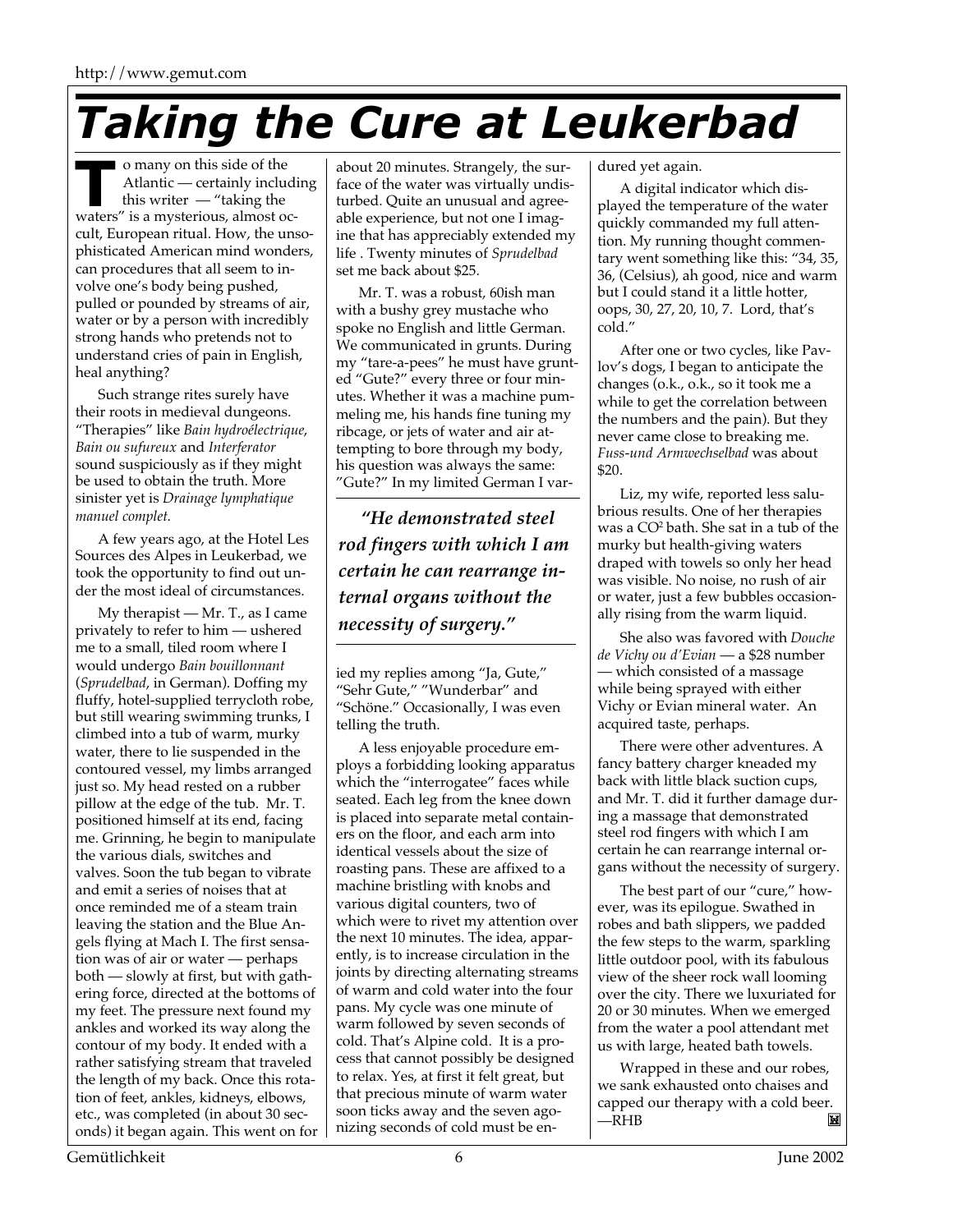## *Taking the Cure at Leukerbad*

o many on this side of the Atlantic — certainly including this writer — "taking the o many on this side of the<br>Atlantic — certainly includi<br>this writer — "taking the<br>waters" is a mysterious, almost occult, European ritual. How, the unsophisticated American mind wonders, can procedures that all seem to involve one's body being pushed, pulled or pounded by streams of air, water or by a person with incredibly strong hands who pretends not to understand cries of pain in English, heal anything?

Such strange rites surely have their roots in medieval dungeons. "Therapies" like *Bain hydroélectrique*, *Bain ou sufureux* and *Interferator* sound suspiciously as if they might be used to obtain the truth. More sinister yet is *Drainage lymphatique manuel complet*.

A few years ago, at the Hotel Les Sources des Alpes in Leukerbad, we took the opportunity to find out under the most ideal of circumstances.

My therapist — Mr. T., as I came privately to refer to him — ushered me to a small, tiled room where I would undergo *Bain bouillonnant* (*Sprudelbad*, in German). Doffing my fluffy, hotel-supplied terrycloth robe, but still wearing swimming trunks, I climbed into a tub of warm, murky water, there to lie suspended in the contoured vessel, my limbs arranged just so. My head rested on a rubber pillow at the edge of the tub. Mr. T. positioned himself at its end, facing me. Grinning, he begin to manipulate the various dials, switches and valves. Soon the tub began to vibrate and emit a series of noises that at once reminded me of a steam train leaving the station and the Blue Angels flying at Mach I. The first sensation was of air or water — perhaps both — slowly at first, but with gathering force, directed at the bottoms of my feet. The pressure next found my ankles and worked its way along the contour of my body. It ended with a rather satisfying stream that traveled the length of my back. Once this rotation of feet, ankles, kidneys, elbows, etc., was completed (in about 30 seconds) it began again. This went on for

about 20 minutes. Strangely, the surface of the water was virtually undisturbed. Quite an unusual and agreeable experience, but not one I imagine that has appreciably extended my life . Twenty minutes of *Sprudelbad* set me back about \$25.

Mr. T. was a robust, 60ish man with a bushy grey mustache who spoke no English and little German. We communicated in grunts. During my "tare-a-pees" he must have grunted "Gute?" every three or four minutes. Whether it was a machine pummeling me, his hands fine tuning my ribcage, or jets of water and air attempting to bore through my body, his question was always the same: "Gute?" In my limited German I var-

*"He demonstrated steel rod fingers with which I am certain he can rearrange internal organs without the necessity of surgery."*

ied my replies among "Ja, Gute," "Sehr Gute," "Wunderbar" and "Schöne." Occasionally, I was even telling the truth.

A less enjoyable procedure employs a forbidding looking apparatus which the "interrogatee" faces while seated. Each leg from the knee down is placed into separate metal containers on the floor, and each arm into identical vessels about the size of roasting pans. These are affixed to a machine bristling with knobs and various digital counters, two of which were to rivet my attention over the next 10 minutes. The idea, apparently, is to increase circulation in the joints by directing alternating streams of warm and cold water into the four pans. My cycle was one minute of warm followed by seven seconds of cold. That's Alpine cold. It is a process that cannot possibly be designed to relax. Yes, at first it felt great, but that precious minute of warm water soon ticks away and the seven agonizing seconds of cold must be endured yet again.

A digital indicator which displayed the temperature of the water quickly commanded my full attention. My running thought commentary went something like this: "34, 35, 36, (Celsius), ah good, nice and warm but I could stand it a little hotter, oops, 30, 27, 20, 10, 7. Lord, that's cold."

After one or two cycles, like Pavlov's dogs, I began to anticipate the changes (o.k., o.k., so it took me a while to get the correlation between the numbers and the pain). But they never came close to breaking me. *Fuss-und Armwechselbad* was about \$20.

Liz, my wife, reported less salubrious results. One of her therapies was a CO2 bath. She sat in a tub of the murky but health-giving waters draped with towels so only her head was visible. No noise, no rush of air or water, just a few bubbles occasionally rising from the warm liquid.

She also was favored with *Douche de Vichy ou d'Evian* — a \$28 number — which consisted of a massage while being sprayed with either Vichy or Evian mineral water. An acquired taste, perhaps.

There were other adventures. A fancy battery charger kneaded my back with little black suction cups, and Mr. T. did it further damage during a massage that demonstrated steel rod fingers with which I am certain he can rearrange internal organs without the necessity of surgery.

The best part of our "cure," however, was its epilogue. Swathed in robes and bath slippers, we padded the few steps to the warm, sparkling little outdoor pool, with its fabulous view of the sheer rock wall looming over the city. There we luxuriated for 20 or 30 minutes. When we emerged from the water a pool attendant met us with large, heated bath towels.

Wrapped in these and our robes, we sank exhausted onto chaises and capped our therapy with a cold beer. —RHB M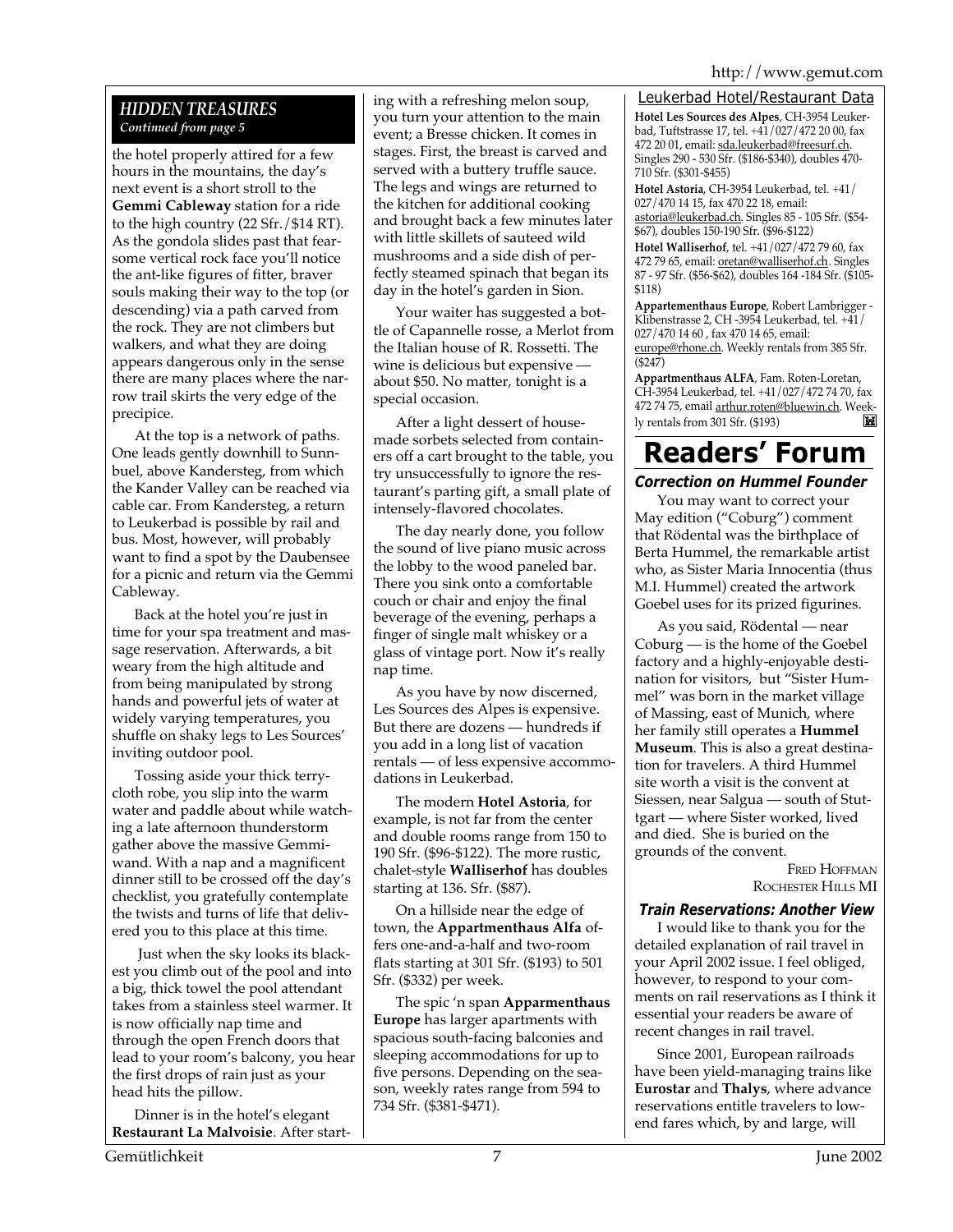#### *HIDDEN TREASURES Continued from page 5*

the hotel properly attired for a few hours in the mountains, the day's next event is a short stroll to the **Gemmi Cableway** station for a ride to the high country (22 Sfr./\$14 RT). As the gondola slides past that fearsome vertical rock face you'll notice the ant-like figures of fitter, braver souls making their way to the top (or descending) via a path carved from the rock. They are not climbers but walkers, and what they are doing appears dangerous only in the sense there are many places where the narrow trail skirts the very edge of the precipice.

At the top is a network of paths. One leads gently downhill to Sunnbuel, above Kandersteg, from which the Kander Valley can be reached via cable car. From Kandersteg, a return to Leukerbad is possible by rail and bus. Most, however, will probably want to find a spot by the Daubensee for a picnic and return via the Gemmi Cableway.

Back at the hotel you're just in time for your spa treatment and massage reservation. Afterwards, a bit weary from the high altitude and from being manipulated by strong hands and powerful jets of water at widely varying temperatures, you shuffle on shaky legs to Les Sources' inviting outdoor pool.

Tossing aside your thick terrycloth robe, you slip into the warm water and paddle about while watching a late afternoon thunderstorm gather above the massive Gemmiwand. With a nap and a magnificent dinner still to be crossed off the day's checklist, you gratefully contemplate the twists and turns of life that delivered you to this place at this time.

 Just when the sky looks its blackest you climb out of the pool and into a big, thick towel the pool attendant takes from a stainless steel warmer. It is now officially nap time and through the open French doors that lead to your room's balcony, you hear the first drops of rain just as your head hits the pillow.

Dinner is in the hotel's elegant **Restaurant La Malvoisie**. After starting with a refreshing melon soup, you turn your attention to the main event; a Bresse chicken. It comes in stages. First, the breast is carved and served with a buttery truffle sauce. The legs and wings are returned to the kitchen for additional cooking and brought back a few minutes later with little skillets of sauteed wild mushrooms and a side dish of perfectly steamed spinach that began its day in the hotel's garden in Sion.

Your waiter has suggested a bottle of Capannelle rosse, a Merlot from the Italian house of R. Rossetti. The wine is delicious but expensive about \$50. No matter, tonight is a special occasion.

After a light dessert of housemade sorbets selected from containers off a cart brought to the table, you try unsuccessfully to ignore the restaurant's parting gift, a small plate of intensely-flavored chocolates.

The day nearly done, you follow the sound of live piano music across the lobby to the wood paneled bar. There you sink onto a comfortable couch or chair and enjoy the final beverage of the evening, perhaps a finger of single malt whiskey or a glass of vintage port. Now it's really nap time.

As you have by now discerned, Les Sources des Alpes is expensive. But there are dozens — hundreds if you add in a long list of vacation rentals — of less expensive accommodations in Leukerbad.

The modern **Hotel Astoria**, for example, is not far from the center and double rooms range from 150 to 190 Sfr. (\$96-\$122). The more rustic, chalet-style **Walliserhof** has doubles starting at 136. Sfr. (\$87).

On a hillside near the edge of town, the **Appartmenthaus Alfa** offers one-and-a-half and two-room flats starting at 301 Sfr. (\$193) to 501 Sfr. (\$332) per week.

The spic 'n span **Apparmenthaus Europe** has larger apartments with spacious south-facing balconies and sleeping accommodations for up to five persons. Depending on the season, weekly rates range from 594 to 734 Sfr. (\$381-\$471).

#### Leukerbad Hotel/Restaurant Data

**Hotel Les Sources des Alpes**, CH-3954 Leukerbad, Tuftstrasse 17, tel.  $+\frac{41}{927}/\frac{472}{2000}$ , fax 472 20 01, email: sda.leukerbad@freesurf.ch. Singles 290 - 530 Sfr. (\$186-\$340), doubles 470- 710 Sfr. (\$301-\$455)

**Hotel Astoria**, CH-3954 Leukerbad, tel. +41/ 027/470 14 15, fax 470 22 18, email: astoria@leukerbad.ch. Singles 85 - 105 Sfr. (\$54- \$67), doubles 150-190 Sfr. (\$96-\$122)

**Hotel Walliserhof**, tel. +41/027/472 79 60, fax 472 79 65, email: oretan@walliserhof.ch. Singles 87 - 97 Sfr. (\$56-\$62), doubles 164 -184 Sfr. (\$105- \$118)

**Appartementhaus Europe**, Robert Lambrigger - Klibenstrasse 2, CH -3954 Leukerbad, tel. +41/ 027/470 14 60 , fax 470 14 65, email: europe@rhone.ch. Weekly rentals from 385 Sfr. (\$247)

**Appartmenthaus ALFA**, Fam. Roten-Loretan, CH-3954 Leukerbad, tel. +41/027/472 74 70, fax 472 74 75, email arthur.roten@bluewin.ch. Weekly rentals from 301 Sfr. (\$193) M

### **Readers' Forum** *Correction on Hummel Founder*

You may want to correct your May edition ("Coburg") comment that Rödental was the birthplace of Berta Hummel, the remarkable artist who, as Sister Maria Innocentia (thus M.I. Hummel) created the artwork Goebel uses for its prized figurines.

As you said, Rödental — near Coburg — is the home of the Goebel factory and a highly-enjoyable destination for visitors, but "Sister Hummel" was born in the market village of Massing, east of Munich, where her family still operates a **Hummel Museum**. This is also a great destination for travelers. A third Hummel site worth a visit is the convent at Siessen, near Salgua — south of Stuttgart — where Sister worked, lived and died. She is buried on the grounds of the convent.

> FRED HOFFMAN ROCHESTER HILLS MI

#### *Train Reservations: Another View*

I would like to thank you for the detailed explanation of rail travel in your April 2002 issue. I feel obliged, however, to respond to your comments on rail reservations as I think it essential your readers be aware of recent changes in rail travel.

Since 2001, European railroads have been yield-managing trains like **Eurostar** and **Thalys**, where advance reservations entitle travelers to lowend fares which, by and large, will